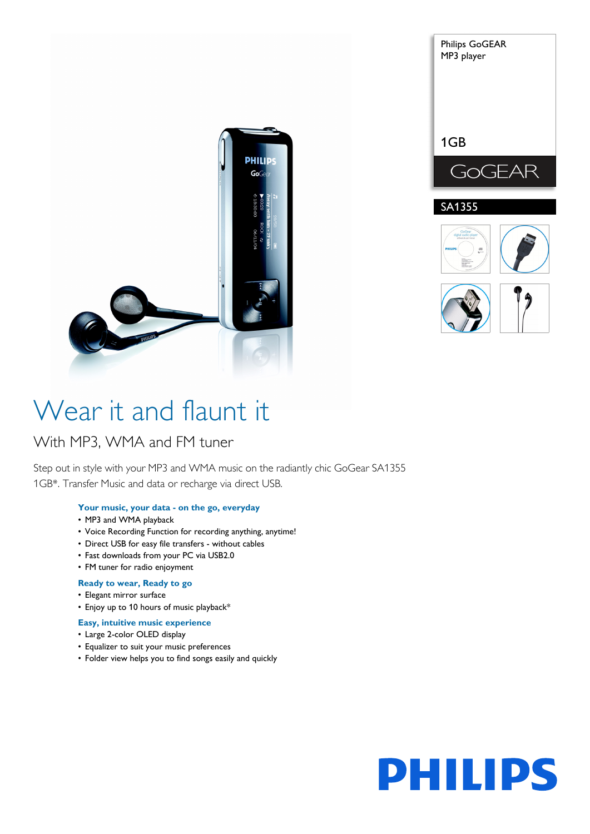



# Wear it and flaunt it

# With MP3, WMA and FM tuner

Step out in style with your MP3 and WMA music on the radiantly chic GoGear SA1355 1GB\*. Transfer Music and data or recharge via direct USB.

# **Your music, your data - on the go, everyday**

- MP3 and WMA playback
- Voice Recording Function for recording anything, anytime!
- Direct USB for easy file transfers without cables
- Fast downloads from your PC via USB2.0
- FM tuner for radio enjoyment

# **Ready to wear, Ready to go**

- Elegant mirror surface
- Enjoy up to 10 hours of music playback\*
- **Easy, intuitive music experience**
- Large 2-color OLED display
- Equalizer to suit your music preferences
- Folder view helps you to find songs easily and quickly